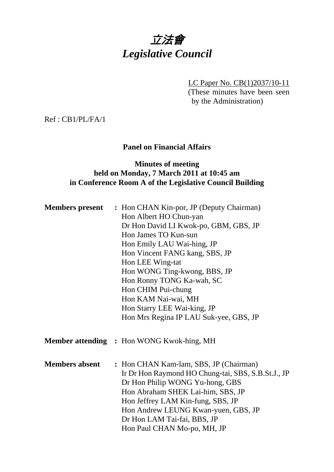# 立法會 *Legislative Council*

LC Paper No. CB(1)2037/10-11 (These minutes have been seen by the Administration)

Ref : CB1/PL/FA/1

# **Panel on Financial Affairs**

# **Minutes of meeting held on Monday, 7 March 2011 at 10:45 am in Conference Room A of the Legislative Council Building**

| <b>Members</b> present | : Hon CHAN Kin-por, JP (Deputy Chairman)           |
|------------------------|----------------------------------------------------|
|                        | Hon Albert HO Chun-yan                             |
|                        | Dr Hon David LI Kwok-po, GBM, GBS, JP              |
|                        | Hon James TO Kun-sun                               |
|                        | Hon Emily LAU Wai-hing, JP                         |
|                        | Hon Vincent FANG kang, SBS, JP                     |
|                        | Hon LEE Wing-tat                                   |
|                        | Hon WONG Ting-kwong, BBS, JP                       |
|                        | Hon Ronny TONG Ka-wah, SC                          |
|                        | Hon CHIM Pui-chung                                 |
|                        | Hon KAM Nai-wai, MH                                |
|                        | Hon Starry LEE Wai-king, JP                        |
|                        | Hon Mrs Regina IP LAU Suk-yee, GBS, JP             |
|                        | <b>Member attending : Hon WONG Kwok-hing, MH</b>   |
| <b>Members absent</b>  | : Hon CHAN Kam-lam, SBS, JP (Chairman)             |
|                        | Ir Dr Hon Raymond HO Chung-tai, SBS, S.B.St.J., JP |
|                        | Dr Hon Philip WONG Yu-hong, GBS                    |
|                        | Hon Abraham SHEK Lai-him, SBS, JP                  |
|                        | Hon Jeffrey LAM Kin-fung, SBS, JP                  |
|                        | Hon Andrew LEUNG Kwan-yuen, GBS, JP                |
|                        | Dr Hon LAM Tai-fai, BBS, JP                        |
|                        | Hon Paul CHAN Mo-po, MH, JP                        |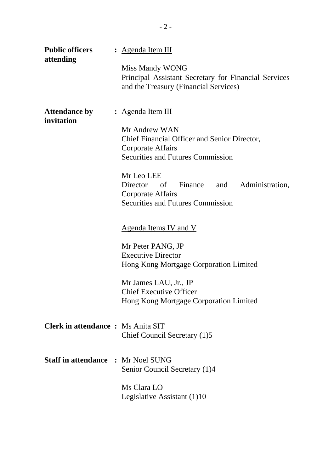| <b>Public officers</b><br>attending       | : <u>Agenda Item III</u><br><b>Miss Mandy WONG</b><br>Principal Assistant Secretary for Financial Services<br>and the Treasury (Financial Services)                                                                                                                                     |  |  |  |  |
|-------------------------------------------|-----------------------------------------------------------------------------------------------------------------------------------------------------------------------------------------------------------------------------------------------------------------------------------------|--|--|--|--|
| <b>Attendance by</b><br>invitation        | : <u>Agenda Item III</u><br>Mr Andrew WAN<br>Chief Financial Officer and Senior Director,<br>Corporate Affairs<br><b>Securities and Futures Commission</b><br>Mr Leo LEE<br>Director of Finance<br>and Administration,<br>Corporate Affairs<br><b>Securities and Futures Commission</b> |  |  |  |  |
|                                           | <u>Agenda Items IV and V</u><br>Mr Peter PANG, JP<br><b>Executive Director</b><br>Hong Kong Mortgage Corporation Limited<br>Mr James LAU, Jr., JP<br><b>Chief Executive Officer</b>                                                                                                     |  |  |  |  |
| <b>Clerk in attendance: Ms Anita SIT</b>  | Hong Kong Mortgage Corporation Limited<br>Chief Council Secretary (1)5                                                                                                                                                                                                                  |  |  |  |  |
| <b>Staff in attendance : Mr Noel SUNG</b> | Senior Council Secretary (1)4<br>Ms Clara LO<br>Legislative Assistant (1)10                                                                                                                                                                                                             |  |  |  |  |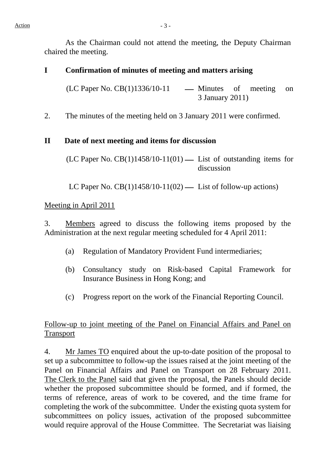As the Chairman could not attend the meeting, the Deputy Chairman chaired the meeting.

#### **I Confirmation of minutes of meeting and matters arising**

 $(LC$  Paper No.  $CB(1)1336/10-11$  — Minutes of meeting on 3 January 2011)

2. The minutes of the meeting held on 3 January 2011 were confirmed.

#### **II Date of next meeting and items for discussion**

 $(LC$  Paper No.  $CB(1)1458/10-11(01)$  — List of outstanding items for discussion

LC Paper No.  $CB(1)1458/10-11(02)$  — List of follow-up actions)

#### Meeting in April 2011

3. Members agreed to discuss the following items proposed by the Administration at the next regular meeting scheduled for 4 April 2011:

- (a) Regulation of Mandatory Provident Fund intermediaries;
- (b) Consultancy study on Risk-based Capital Framework for Insurance Business in Hong Kong; and
- (c) Progress report on the work of the Financial Reporting Council.

# Follow-up to joint meeting of the Panel on Financial Affairs and Panel on Transport

4. Mr James TO enquired about the up-to-date position of the proposal to set up a subcommittee to follow-up the issues raised at the joint meeting of the Panel on Financial Affairs and Panel on Transport on 28 February 2011. The Clerk to the Panel said that given the proposal, the Panels should decide whether the proposed subcommittee should be formed, and if formed, the terms of reference, areas of work to be covered, and the time frame for completing the work of the subcommittee. Under the existing quota system for subcommittees on policy issues, activation of the proposed subcommittee would require approval of the House Committee. The Secretariat was liaising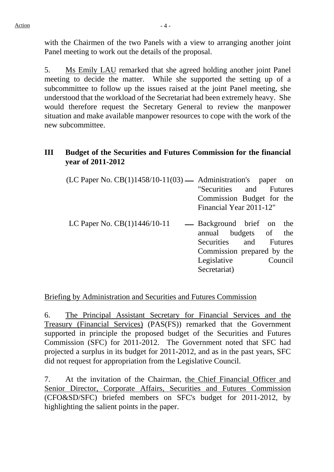5. Ms Emily LAU remarked that she agreed holding another joint Panel meeting to decide the matter. While she supported the setting up of a subcommittee to follow up the issues raised at the joint Panel meeting, she understood that the workload of the Secretariat had been extremely heavy. She would therefore request the Secretary General to review the manpower situation and make available manpower resources to cope with the work of the new subcommittee.

# **III Budget of the Securities and Futures Commission for the financial year of 2011-2012**

| $(LC$ Paper No. $CB(1)1458/10-11(03)$ — Administration's paper on |                           |  |  |  |
|-------------------------------------------------------------------|---------------------------|--|--|--|
|                                                                   | "Securities and Futures"  |  |  |  |
|                                                                   | Commission Budget for the |  |  |  |
|                                                                   | Financial Year 2011-12"   |  |  |  |
| LC Paper No. $CB(1)1446/10-11$ - Background brief on the          |                           |  |  |  |

LC Paper No.  $CB(1)1446/10-11$   $-$  Background brief on the annual budgets of the Securities and Futures Commission prepared by the Legislative Council Secretariat)

# Briefing by Administration and Securities and Futures Commission

6. The Principal Assistant Secretary for Financial Services and the Treasury (Financial Services) (PAS(FS)) remarked that the Government supported in principle the proposed budget of the Securities and Futures Commission (SFC) for 2011-2012. The Government noted that SFC had projected a surplus in its budget for 2011-2012, and as in the past years, SFC did not request for appropriation from the Legislative Council.

7. At the invitation of the Chairman, the Chief Financial Officer and Senior Director, Corporate Affairs, Securities and Futures Commission (CFO&SD/SFC) briefed members on SFC's budget for 2011-2012, by highlighting the salient points in the paper.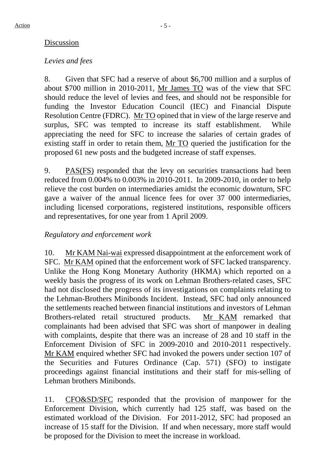# Discussion

# *Levies and fees*

8. Given that SFC had a reserve of about \$6,700 million and a surplus of about \$700 million in 2010-2011, Mr James TO was of the view that SFC should reduce the level of levies and fees, and should not be responsible for funding the Investor Education Council (IEC) and Financial Dispute Resolution Centre (FDRC). Mr TO opined that in view of the large reserve and surplus, SFC was tempted to increase its staff establishment. While appreciating the need for SFC to increase the salaries of certain grades of existing staff in order to retain them, Mr TO queried the justification for the proposed 61 new posts and the budgeted increase of staff expenses.

9. PAS(FS) responded that the levy on securities transactions had been reduced from 0.004% to 0.003% in 2010-2011. In 2009-2010, in order to help relieve the cost burden on intermediaries amidst the economic downturn, SFC gave a waiver of the annual licence fees for over 37 000 intermediaries, including licensed corporations, registered institutions, responsible officers and representatives, for one year from 1 April 2009.

# *Regulatory and enforcement work*

10. Mr KAM Nai-wai expressed disappointment at the enforcement work of SFC. Mr KAM opined that the enforcement work of SFC lacked transparency. Unlike the Hong Kong Monetary Authority (HKMA) which reported on a weekly basis the progress of its work on Lehman Brothers-related cases, SFC had not disclosed the progress of its investigations on complaints relating to the Lehman-Brothers Minibonds Incident. Instead, SFC had only announced the settlements reached between financial institutions and investors of Lehman Brothers-related retail structured products. Mr KAM remarked that complainants had been advised that SFC was short of manpower in dealing with complaints, despite that there was an increase of 28 and 10 staff in the Enforcement Division of SFC in 2009-2010 and 2010-2011 respectively. Mr KAM enquired whether SFC had invoked the powers under section 107 of the Securities and Futures Ordinance (Cap. 571) (SFO) to instigate proceedings against financial institutions and their staff for mis-selling of Lehman brothers Minibonds.

11. CFO&SD/SFC responded that the provision of manpower for the Enforcement Division, which currently had 125 staff, was based on the estimated workload of the Division. For 2011-2012, SFC had proposed an increase of 15 staff for the Division. If and when necessary, more staff would be proposed for the Division to meet the increase in workload.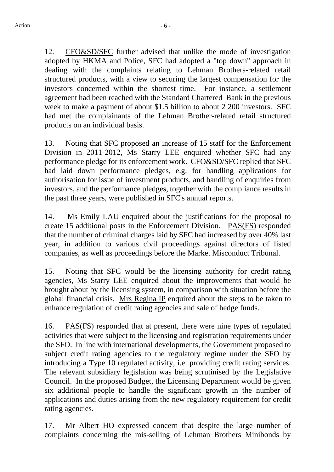12. CFO&SD/SFC further advised that unlike the mode of investigation adopted by HKMA and Police, SFC had adopted a "top down" approach in dealing with the complaints relating to Lehman Brothers-related retail structured products, with a view to securing the largest compensation for the investors concerned within the shortest time. For instance, a settlement agreement had been reached with the Standard Chartered Bank in the previous week to make a payment of about \$1.5 billion to about 2 200 investors. SFC had met the complainants of the Lehman Brother-related retail structured products on an individual basis.

13. Noting that SFC proposed an increase of 15 staff for the Enforcement Division in 2011-2012, Ms Starry LEE enquired whether SFC had any performance pledge for its enforcement work. CFO&SD/SFC replied that SFC had laid down performance pledges, e.g. for handling applications for authorisation for issue of investment products, and handling of enquiries from investors, and the performance pledges, together with the compliance results in the past three years, were published in SFC's annual reports.

14. Ms Emily LAU enquired about the justifications for the proposal to create 15 additional posts in the Enforcement Division. PAS(FS) responded that the number of criminal charges laid by SFC had increased by over 40% last year, in addition to various civil proceedings against directors of listed companies, as well as proceedings before the Market Misconduct Tribunal.

15. Noting that SFC would be the licensing authority for credit rating agencies, Ms Starry LEE enquired about the improvements that would be brought about by the licensing system, in comparison with situation before the global financial crisis. Mrs Regina IP enquired about the steps to be taken to enhance regulation of credit rating agencies and sale of hedge funds.

16. PAS(FS) responded that at present, there were nine types of regulated activities that were subject to the licensing and registration requirements under the SFO. In line with international developments, the Government proposed to subject credit rating agencies to the regulatory regime under the SFO by introducing a Type 10 regulated activity, i.e. providing credit rating services. The relevant subsidiary legislation was being scrutinised by the Legislative Council. In the proposed Budget, the Licensing Department would be given six additional people to handle the significant growth in the number of applications and duties arising from the new regulatory requirement for credit rating agencies.

17. Mr Albert HO expressed concern that despite the large number of complaints concerning the mis-selling of Lehman Brothers Minibonds by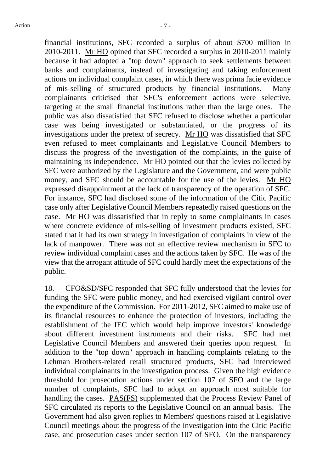financial institutions, SFC recorded a surplus of about \$700 million in 2010-2011. Mr HO opined that SFC recorded a surplus in 2010-2011 mainly because it had adopted a "top down" approach to seek settlements between banks and complainants, instead of investigating and taking enforcement actions on individual complaint cases, in which there was prima facie evidence of mis-selling of structured products by financial institutions. Many complainants criticised that SFC's enforcement actions were selective, targeting at the small financial institutions rather than the large ones. The public was also dissatisfied that SFC refused to disclose whether a particular case was being investigated or substantiated, or the progress of its investigations under the pretext of secrecy. Mr HO was dissatisfied that SFC even refused to meet complainants and Legislative Council Members to discuss the progress of the investigation of the complaints, in the guise of maintaining its independence. Mr HO pointed out that the levies collected by SFC were authorized by the Legislature and the Government, and were public money, and SFC should be accountable for the use of the levies. Mr HO expressed disappointment at the lack of transparency of the operation of SFC. For instance, SFC had disclosed some of the information of the Citic Pacific case only after Legislative Council Members repeatedly raised questions on the case. Mr HO was dissatisfied that in reply to some complainants in cases where concrete evidence of mis-selling of investment products existed, SFC stated that it had its own strategy in investigation of complaints in view of the lack of manpower. There was not an effective review mechanism in SFC to review individual complaint cases and the actions taken by SFC. He was of the view that the arrogant attitude of SFC could hardly meet the expectations of the public.

18. CFO&SD/SFC responded that SFC fully understood that the levies for funding the SFC were public money, and had exercised vigilant control over the expenditure of the Commission. For 2011-2012, SFC aimed to make use of its financial resources to enhance the protection of investors, including the establishment of the IEC which would help improve investors' knowledge about different investment instruments and their risks. SFC had met Legislative Council Members and answered their queries upon request. In addition to the "top down" approach in handling complaints relating to the Lehman Brothers-related retail structured products, SFC had interviewed individual complainants in the investigation process. Given the high evidence threshold for prosecution actions under section 107 of SFO and the large number of complaints, SFC had to adopt an approach most suitable for handling the cases. PAS(FS) supplemented that the Process Review Panel of SFC circulated its reports to the Legislative Council on an annual basis. The Government had also given replies to Members' questions raised at Legislative Council meetings about the progress of the investigation into the Citic Pacific case, and prosecution cases under section 107 of SFO. On the transparency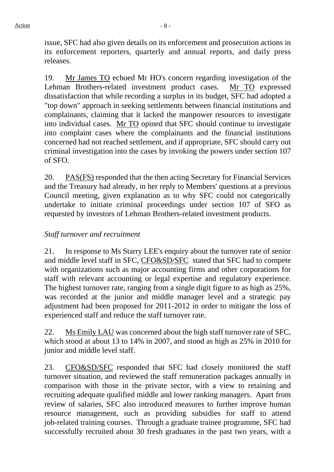issue, SFC had also given details on its enforcement and prosecution actions in its enforcement reporters, quarterly and annual reports, and daily press releases.

19. Mr James TO echoed Mr HO's concern regarding investigation of the Lehman Brothers-related investment product cases. Mr TO expressed dissatisfaction that while recording a surplus in its budget, SFC had adopted a "top down" approach in seeking settlements between financial institutions and complainants, claiming that it lacked the manpower resources to investigate into individual cases. Mr TO opined that SFC should continue to investigate into complaint cases where the complainants and the financial institutions concerned had not reached settlement, and if appropriate, SFC should carry out criminal investigation into the cases by invoking the powers under section 107 of SFO.

20. PAS(FS) responded that the then acting Secretary for Financial Services and the Treasury had already, in her reply to Members' questions at a previous Council meeting, given explanation as to why SFC could not categorically undertake to initiate criminal proceedings under section 107 of SFO as requested by investors of Lehman Brothers-related investment products.

#### *Staff turnover and recruitment*

21. In response to Ms Starry LEE's enquiry about the turnover rate of senior and middle level staff in SFC, CFO&SD/SFC stated that SFC had to compete with organizations such as major accounting firms and other corporations for staff with relevant accounting or legal expertise and regulatory experience. The highest turnover rate, ranging from a single digit figure to as high as 25%, was recorded at the junior and middle manager level and a strategic pay adjustment had been proposed for 2011-2012 in order to mitigate the loss of experienced staff and reduce the staff turnover rate.

22. Ms Emily LAU was concerned about the high staff turnover rate of SFC, which stood at about 13 to 14% in 2007, and stood as high as 25% in 2010 for junior and middle level staff.

23. CFO&SD/SFC responded that SFC had closely monitored the staff turnover situation, and reviewed the staff remuneration packages annually in comparison with those in the private sector, with a view to retaining and recruiting adequate qualified middle and lower ranking managers. Apart from review of salaries, SFC also introduced measures to further improve human resource management, such as providing subsidies for staff to attend job-related training courses. Through a graduate trainee programme, SFC had successfully recruited about 30 fresh graduates in the past two years, with a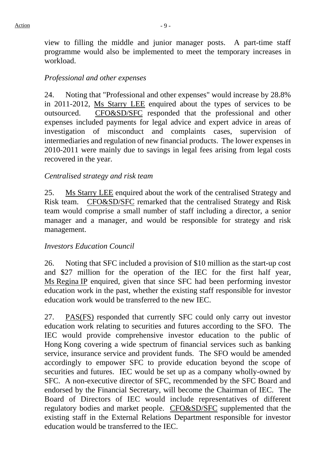view to filling the middle and junior manager posts. A part-time staff programme would also be implemented to meet the temporary increases in workload.

#### *Professional and other expenses*

24. Noting that "Professional and other expenses" would increase by 28.8% in 2011-2012, Ms Starry LEE enquired about the types of services to be outsourced. CFO&SD/SFC responded that the professional and other expenses included payments for legal advice and expert advice in areas of investigation of misconduct and complaints cases, supervision of intermediaries and regulation of new financial products. The lower expenses in 2010-2011 were mainly due to savings in legal fees arising from legal costs recovered in the year.

#### *Centralised strategy and risk team*

25. Ms Starry LEE enquired about the work of the centralised Strategy and Risk team. CFO&SD/SFC remarked that the centralised Strategy and Risk team would comprise a small number of staff including a director, a senior manager and a manager, and would be responsible for strategy and risk management.

#### *Investors Education Council*

26. Noting that SFC included a provision of \$10 million as the start-up cost and \$27 million for the operation of the IEC for the first half year, Ms Regina IP enquired, given that since SFC had been performing investor education work in the past, whether the existing staff responsible for investor education work would be transferred to the new IEC.

27. PAS(FS) responded that currently SFC could only carry out investor education work relating to securities and futures according to the SFO. The IEC would provide comprehensive investor education to the public of Hong Kong covering a wide spectrum of financial services such as banking service, insurance service and provident funds. The SFO would be amended accordingly to empower SFC to provide education beyond the scope of securities and futures. IEC would be set up as a company wholly-owned by SFC. A non-executive director of SFC, recommended by the SFC Board and endorsed by the Financial Secretary, will become the Chairman of IEC. The Board of Directors of IEC would include representatives of different regulatory bodies and market people. CFO&SD/SFC supplemented that the existing staff in the External Relations Department responsible for investor education would be transferred to the IEC.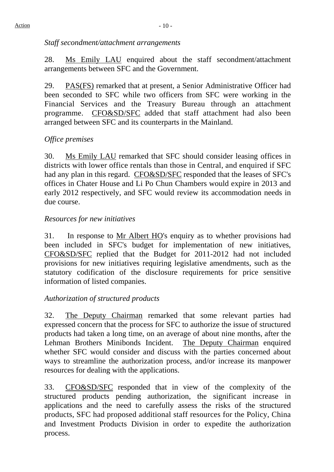## *Staff secondment/attachment arrangements*

28. Ms Emily LAU enquired about the staff secondment/attachment arrangements between SFC and the Government.

29. PAS(FS) remarked that at present, a Senior Administrative Officer had been seconded to SFC while two officers from SFC were working in the Financial Services and the Treasury Bureau through an attachment programme. CFO&SD/SFC added that staff attachment had also been arranged between SFC and its counterparts in the Mainland.

# *Office premises*

30. Ms Emily LAU remarked that SFC should consider leasing offices in districts with lower office rentals than those in Central, and enquired if SFC had any plan in this regard. CFO&SD/SFC responded that the leases of SFC's offices in Chater House and Li Po Chun Chambers would expire in 2013 and early 2012 respectively, and SFC would review its accommodation needs in due course.

# *Resources for new initiatives*

31. In response to Mr Albert HO's enquiry as to whether provisions had been included in SFC's budget for implementation of new initiatives, CFO&SD/SFC replied that the Budget for 2011-2012 had not included provisions for new initiatives requiring legislative amendments, such as the statutory codification of the disclosure requirements for price sensitive information of listed companies.

# *Authorization of structured products*

32. The Deputy Chairman remarked that some relevant parties had expressed concern that the process for SFC to authorize the issue of structured products had taken a long time, on an average of about nine months, after the Lehman Brothers Minibonds Incident. The Deputy Chairman enquired whether SFC would consider and discuss with the parties concerned about ways to streamline the authorization process, and/or increase its manpower resources for dealing with the applications.

33. CFO&SD/SFC responded that in view of the complexity of the structured products pending authorization, the significant increase in applications and the need to carefully assess the risks of the structured products, SFC had proposed additional staff resources for the Policy, China and Investment Products Division in order to expedite the authorization process.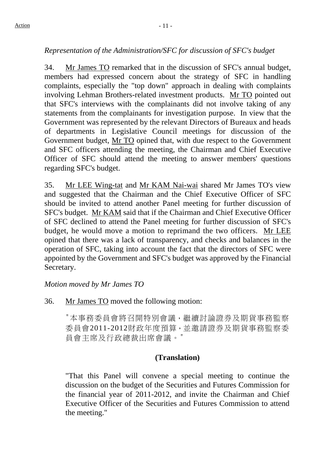# *Representation of the Administration/SFC for discussion of SFC's budget*

34. Mr James TO remarked that in the discussion of SFC's annual budget, members had expressed concern about the strategy of SFC in handling complaints, especially the "top down" approach in dealing with complaints involving Lehman Brothers-related investment products. Mr TO pointed out that SFC's interviews with the complainants did not involve taking of any statements from the complainants for investigation purpose. In view that the Government was represented by the relevant Directors of Bureaux and heads of departments in Legislative Council meetings for discussion of the Government budget, Mr TO opined that, with due respect to the Government and SFC officers attending the meeting, the Chairman and Chief Executive Officer of SFC should attend the meeting to answer members' questions regarding SFC's budget.

35. Mr LEE Wing-tat and Mr KAM Nai-wai shared Mr James TO's view and suggested that the Chairman and the Chief Executive Officer of SFC should be invited to attend another Panel meeting for further discussion of SFC's budget. Mr KAM said that if the Chairman and Chief Executive Officer of SFC declined to attend the Panel meeting for further discussion of SFC's budget, he would move a motion to reprimand the two officers. Mr LEE opined that there was a lack of transparency, and checks and balances in the operation of SFC, taking into account the fact that the directors of SFC were appointed by the Government and SFC's budget was approved by the Financial Secretary.

*Motion moved by Mr James TO* 

36. Mr James TO moved the following motion:

"本事務委員會將召開特別會議,繼續討論證券及期貨事務監察 委員會2011-2012財政年度預算,並邀請證券及期貨事務監察委 員會主席及行政總裁出席會議。"

# **(Translation)**

"That this Panel will convene a special meeting to continue the discussion on the budget of the Securities and Futures Commission for the financial year of 2011-2012, and invite the Chairman and Chief Executive Officer of the Securities and Futures Commission to attend the meeting."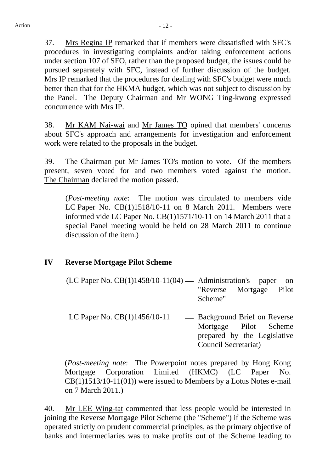37. Mrs Regina IP remarked that if members were dissatisfied with SFC's procedures in investigating complaints and/or taking enforcement actions under section 107 of SFO, rather than the proposed budget, the issues could be pursued separately with SFC, instead of further discussion of the budget. Mrs IP remarked that the procedures for dealing with SFC's budget were much better than that for the HKMA budget, which was not subject to discussion by the Panel. The Deputy Chairman and Mr WONG Ting-kwong expressed concurrence with Mrs IP.

38. Mr KAM Nai-wai and Mr James TO opined that members' concerns about SFC's approach and arrangements for investigation and enforcement work were related to the proposals in the budget.

39. The Chairman put Mr James TO's motion to vote. Of the members present, seven voted for and two members voted against the motion. The Chairman declared the motion passed.

(*Post-meeting note*: The motion was circulated to members vide LC Paper No. CB(1)1518/10-11 on 8 March 2011. Members were informed vide LC Paper No. CB(1)1571/10-11 on 14 March 2011 that a special Panel meeting would be held on 28 March 2011 to continue discussion of the item.)

# **IV Reverse Mortgage Pilot Scheme**

- $(LC$  Paper No.  $CB(1)1458/10-11(04)$   $-$  Administration's paper on "Reverse Mortgage Pilot Scheme"
- LC Paper No.  $CB(1)1456/10-11$   $-$  Background Brief on Reverse Mortgage Pilot Scheme prepared by the Legislative Council Secretariat)

(*Post-meeting note*: The Powerpoint notes prepared by Hong Kong Mortgage Corporation Limited (HKMC) (LC Paper No. CB(1)1513/10-11(01)) were issued to Members by a Lotus Notes e-mail on 7 March 2011.)

40. Mr LEE Wing-tat commented that less people would be interested in joining the Reverse Mortgage Pilot Scheme (the "Scheme") if the Scheme was operated strictly on prudent commercial principles, as the primary objective of banks and intermediaries was to make profits out of the Scheme leading to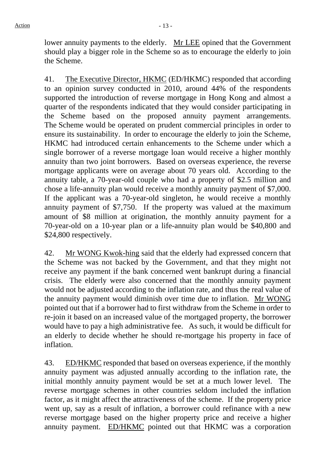lower annuity payments to the elderly. Mr LEE opined that the Government should play a bigger role in the Scheme so as to encourage the elderly to join the Scheme.

41. The Executive Director, HKMC (ED/HKMC) responded that according to an opinion survey conducted in 2010, around 44% of the respondents supported the introduction of reverse mortgage in Hong Kong and almost a quarter of the respondents indicated that they would consider participating in the Scheme based on the proposed annuity payment arrangements. The Scheme would be operated on prudent commercial principles in order to ensure its sustainability. In order to encourage the elderly to join the Scheme, HKMC had introduced certain enhancements to the Scheme under which a single borrower of a reverse mortgage loan would receive a higher monthly annuity than two joint borrowers. Based on overseas experience, the reverse mortgage applicants were on average about 70 years old. According to the annuity table, a 70-year-old couple who had a property of \$2.5 million and chose a life-annuity plan would receive a monthly annuity payment of \$7,000. If the applicant was a 70-year-old singleton, he would receive a monthly annuity payment of \$7,750. If the property was valued at the maximum amount of \$8 million at origination, the monthly annuity payment for a 70-year-old on a 10-year plan or a life-annuity plan would be \$40,800 and \$24,800 respectively.

42. Mr WONG Kwok-hing said that the elderly had expressed concern that the Scheme was not backed by the Government, and that they might not receive any payment if the bank concerned went bankrupt during a financial crisis. The elderly were also concerned that the monthly annuity payment would not be adjusted according to the inflation rate, and thus the real value of the annuity payment would diminish over time due to inflation. Mr WONG pointed out that if a borrower had to first withdraw from the Scheme in order to re-join it based on an increased value of the mortgaged property, the borrower would have to pay a high administrative fee. As such, it would be difficult for an elderly to decide whether he should re-mortgage his property in face of inflation.

43. ED/HKMC responded that based on overseas experience, if the monthly annuity payment was adjusted annually according to the inflation rate, the initial monthly annuity payment would be set at a much lower level. The reverse mortgage schemes in other countries seldom included the inflation factor, as it might affect the attractiveness of the scheme. If the property price went up, say as a result of inflation, a borrower could refinance with a new reverse mortgage based on the higher property price and receive a higher annuity payment. ED/HKMC pointed out that HKMC was a corporation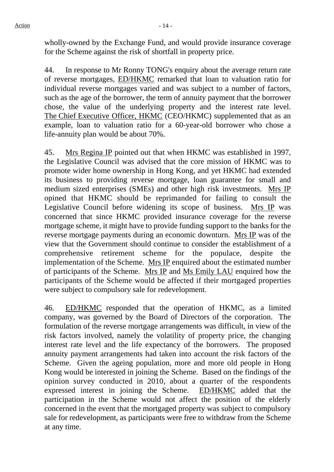wholly-owned by the Exchange Fund, and would provide insurance coverage for the Scheme against the risk of shortfall in property price.

44. In response to Mr Ronny TONG's enquiry about the average return rate of reverse mortgages, ED/HKMC remarked that loan to valuation ratio for individual reverse mortgages varied and was subject to a number of factors, such as the age of the borrower, the term of annuity payment that the borrower chose, the value of the underlying property and the interest rate level. The Chief Executive Officer, HKMC (CEO/HKMC) supplemented that as an example, loan to valuation ratio for a 60-year-old borrower who chose a life-annuity plan would be about 70%.

45. Mrs Regina IP pointed out that when HKMC was established in 1997, the Legislative Council was advised that the core mission of HKMC was to promote wider home ownership in Hong Kong, and yet HKMC had extended its business to providing reverse mortgage, loan guarantee for small and medium sized enterprises (SMEs) and other high risk investments. Mrs IP opined that HKMC should be reprimanded for failing to consult the Legislative Council before widening its scope of business. Mrs IP was concerned that since HKMC provided insurance coverage for the reverse mortgage scheme, it might have to provide funding support to the banks for the reverse mortgage payments during an economic downturn. Mrs IP was of the view that the Government should continue to consider the establishment of a comprehensive retirement scheme for the populace, despite the implementation of the Scheme. Mrs IP enquired about the estimated number of participants of the Scheme. Mrs IP and Ms Emily LAU enquired how the participants of the Scheme would be affected if their mortgaged properties were subject to compulsory sale for redevelopment.

46. ED/HKMC responded that the operation of HKMC, as a limited company, was governed by the Board of Directors of the corporation. The formulation of the reverse mortgage arrangements was difficult, in view of the risk factors involved, namely the volatility of property price, the changing interest rate level and the life expectancy of the borrowers. The proposed annuity payment arrangements had taken into account the risk factors of the Scheme. Given the ageing population, more and more old people in Hong Kong would be interested in joining the Scheme. Based on the findings of the opinion survey conducted in 2010, about a quarter of the respondents expressed interest in joining the Scheme. ED/HKMC added that the participation in the Scheme would not affect the position of the elderly concerned in the event that the mortgaged property was subject to compulsory sale for redevelopment, as participants were free to withdraw from the Scheme at any time.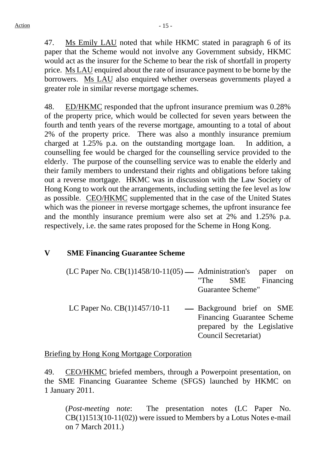47. Ms Emily LAU noted that while HKMC stated in paragraph 6 of its paper that the Scheme would not involve any Government subsidy, HKMC would act as the insurer for the Scheme to bear the risk of shortfall in property price. Ms LAU enquired about the rate of insurance payment to be borne by the borrowers. Ms LAU also enquired whether overseas governments played a greater role in similar reverse mortgage schemes.

48. ED/HKMC responded that the upfront insurance premium was 0.28% of the property price, which would be collected for seven years between the fourth and tenth years of the reverse mortgage, amounting to a total of about 2% of the property price. There was also a monthly insurance premium charged at 1.25% p.a. on the outstanding mortgage loan. In addition, a counselling fee would be charged for the counselling service provided to the elderly. The purpose of the counselling service was to enable the elderly and their family members to understand their rights and obligations before taking out a reverse mortgage. HKMC was in discussion with the Law Society of Hong Kong to work out the arrangements, including setting the fee level as low as possible. CEO/HKMC supplemented that in the case of the United States which was the pioneer in reverse mortgage schemes, the upfront insurance fee and the monthly insurance premium were also set at 2% and 1.25% p.a. respectively, i.e. the same rates proposed for the Scheme in Hong Kong.

# **V SME Financing Guarantee Scheme**

- (LC Paper No.  $CB(1)1458/10-11(05)$   $\longrightarrow$  Administration's paper on "The SME Financing" SME Financing Guarantee Scheme"
- LC Paper No.  $CB(1)1457/10-11$   $-$  Background brief on SME Financing Guarantee Scheme prepared by the Legislative Council Secretariat)

#### Briefing by Hong Kong Mortgage Corporation

49. CEO/HKMC briefed members, through a Powerpoint presentation, on the SME Financing Guarantee Scheme (SFGS) launched by HKMC on 1 January 2011.

(*Post-meeting note*: The presentation notes (LC Paper No. CB(1)1513(10-11(02)) were issued to Members by a Lotus Notes e-mail on 7 March 2011.)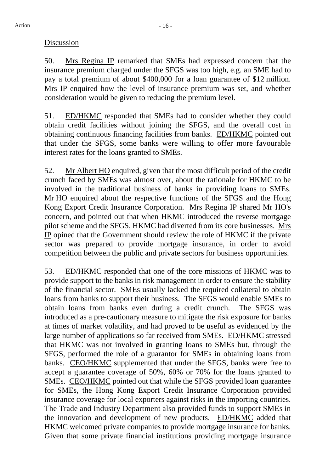#### **Discussion**

50. Mrs Regina IP remarked that SMEs had expressed concern that the insurance premium charged under the SFGS was too high, e.g. an SME had to pay a total premium of about \$400,000 for a loan guarantee of \$12 million. Mrs IP enquired how the level of insurance premium was set, and whether consideration would be given to reducing the premium level.

51. ED/HKMC responded that SMEs had to consider whether they could obtain credit facilities without joining the SFGS, and the overall cost in obtaining continuous financing facilities from banks. ED/HKMC pointed out that under the SFGS, some banks were willing to offer more favourable interest rates for the loans granted to SMEs.

52. Mr Albert HO enquired, given that the most difficult period of the credit crunch faced by SMEs was almost over, about the rationale for HKMC to be involved in the traditional business of banks in providing loans to SMEs. Mr HO enquired about the respective functions of the SFGS and the Hong Kong Export Credit Insurance Corporation. Mrs Regina IP shared Mr HO's concern, and pointed out that when HKMC introduced the reverse mortgage pilot scheme and the SFGS, HKMC had diverted from its core businesses. Mrs IP opined that the Government should review the role of HKMC if the private sector was prepared to provide mortgage insurance, in order to avoid competition between the public and private sectors for business opportunities.

53. ED/HKMC responded that one of the core missions of HKMC was to provide support to the banks in risk management in order to ensure the stability of the financial sector. SMEs usually lacked the required collateral to obtain loans from banks to support their business. The SFGS would enable SMEs to obtain loans from banks even during a credit crunch. The SFGS was introduced as a pre-cautionary measure to mitigate the risk exposure for banks at times of market volatility, and had proved to be useful as evidenced by the large number of applications so far received from SMEs. ED/HKMC stressed that HKMC was not involved in granting loans to SMEs but, through the SFGS, performed the role of a guarantor for SMEs in obtaining loans from banks. CEO/HKMC supplemented that under the SFGS, banks were free to accept a guarantee coverage of 50%, 60% or 70% for the loans granted to SMEs. CEO/HKMC pointed out that while the SFGS provided loan guarantee for SMEs, the Hong Kong Export Credit Insurance Corporation provided insurance coverage for local exporters against risks in the importing countries. The Trade and Industry Department also provided funds to support SMEs in the innovation and development of new products. ED/HKMC added that HKMC welcomed private companies to provide mortgage insurance for banks. Given that some private financial institutions providing mortgage insurance